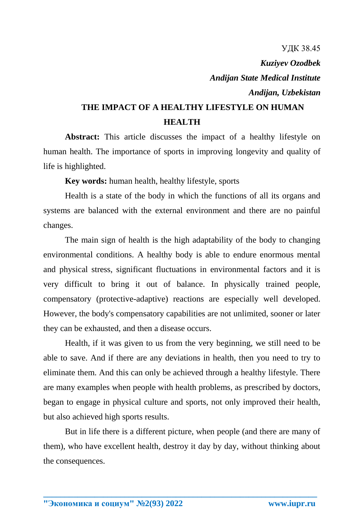УДК 38.45 *Kuziyev Ozodbek Andijan State Medical Institute Andijan, Uzbekistan*

## **THE IMPACT OF A HEALTHY LIFESTYLE ON HUMAN HEALTH**

Abstract: This article discusses the impact of a healthy lifestyle on human health. The importance of sports in improving longevity and quality of life is highlighted.

**Key words:** human health, healthy lifestyle, sports

Health is a state of the body in which the functions of all its organs and systems are balanced with the external environment and there are no painful changes.

The main sign of health is the high adaptability of the body to changing environmental conditions. A healthy body is able to endure enormous mental and physical stress, significant fluctuations in environmental factors and it is very difficult to bring it out of balance. In physically trained people, compensatory (protective-adaptive) reactions are especially well developed. However, the body's compensatory capabilities are not unlimited, sooner or later they can be exhausted, and then a disease occurs.

Health, if it was given to us from the very beginning, we still need to be able to save. And if there are any deviations in health, then you need to try to eliminate them. And this can only be achieved through a healthy lifestyle. There are many examples when people with health problems, as prescribed by doctors, began to engage in physical culture and sports, not only improved their health, but also achieved high sports results.

But in life there is a different picture, when people (and there are many of them), who have excellent health, destroy it day by day, without thinking about the consequences.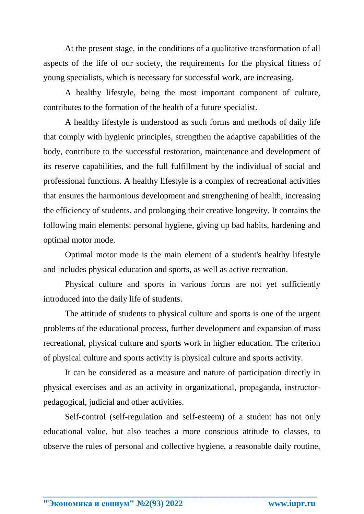At the present stage, in the conditions of a qualitative transformation of all aspects of the life of our society, the requirements for the physical fitness of young specialists, which is necessary for successful work, are increasing.

A healthy lifestyle, being the most important component of culture, contributes to the formation of the health of a future specialist.

A healthy lifestyle is understood as such forms and methods of daily life that comply with hygienic principles, strengthen the adaptive capabilities of the body, contribute to the successful restoration, maintenance and development of its reserve capabilities, and the full fulfillment by the individual of social and professional functions. A healthy lifestyle is a complex of recreational activities that ensures the harmonious development and strengthening of health, increasing the efficiency of students, and prolonging their creative longevity. It contains the following main elements: personal hygiene, giving up bad habits, hardening and optimal motor mode.

Optimal motor mode is the main element of a student's healthy lifestyle and includes physical education and sports, as well as active recreation.

Physical culture and sports in various forms are not yet sufficiently introduced into the daily life of students.

The attitude of students to physical culture and sports is one of the urgent problems of the educational process, further development and expansion of mass recreational, physical culture and sports work in higher education. The criterion of physical culture and sports activity is physical culture and sports activity.

It can be considered as a measure and nature of participation directly in physical exercises and as an activity in organizational, propaganda, instructorpedagogical, judicial and other activities.

Self-control (self-regulation and self-esteem) of a student has not only educational value, but also teaches a more conscious attitude to classes, to observe the rules of personal and collective hygiene, a reasonable daily routine,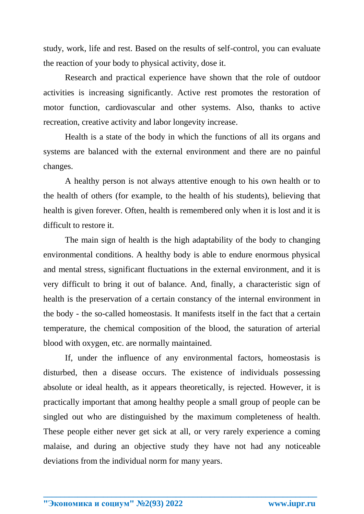study, work, life and rest. Based on the results of self-control, you can evaluate the reaction of your body to physical activity, dose it.

Research and practical experience have shown that the role of outdoor activities is increasing significantly. Active rest promotes the restoration of motor function, cardiovascular and other systems. Also, thanks to active recreation, creative activity and labor longevity increase.

Health is a state of the body in which the functions of all its organs and systems are balanced with the external environment and there are no painful changes.

A healthy person is not always attentive enough to his own health or to the health of others (for example, to the health of his students), believing that health is given forever. Often, health is remembered only when it is lost and it is difficult to restore it.

The main sign of health is the high adaptability of the body to changing environmental conditions. A healthy body is able to endure enormous physical and mental stress, significant fluctuations in the external environment, and it is very difficult to bring it out of balance. And, finally, a characteristic sign of health is the preservation of a certain constancy of the internal environment in the body - the so-called homeostasis. It manifests itself in the fact that a certain temperature, the chemical composition of the blood, the saturation of arterial blood with oxygen, etc. are normally maintained.

If, under the influence of any environmental factors, homeostasis is disturbed, then a disease occurs. The existence of individuals possessing absolute or ideal health, as it appears theoretically, is rejected. However, it is practically important that among healthy people a small group of people can be singled out who are distinguished by the maximum completeness of health. These people either never get sick at all, or very rarely experience a coming malaise, and during an objective study they have not had any noticeable deviations from the individual norm for many years.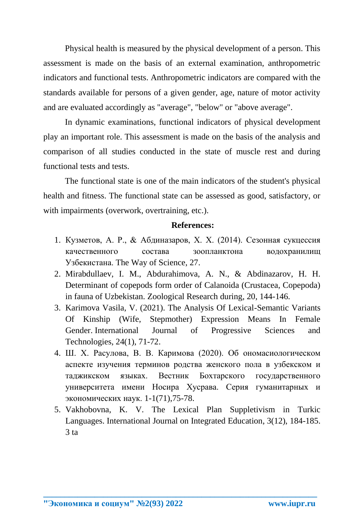Physical health is measured by the physical development of a person. This assessment is made on the basis of an external examination, anthropometric indicators and functional tests. Anthropometric indicators are compared with the standards available for persons of a given gender, age, nature of motor activity and are evaluated accordingly as "average", "below" or "above average".

In dynamic examinations, functional indicators of physical development play an important role. This assessment is made on the basis of the analysis and comparison of all studies conducted in the state of muscle rest and during functional tests and tests.

The functional state is one of the main indicators of the student's physical health and fitness. The functional state can be assessed as good, satisfactory, or with impairments (overwork, overtraining, etc.).

## **References:**

- 1. Кузметов, А. Р., & Абдиназаров, Х. Х. (2014). Сезонная сукцессия качественного состава зоопланктона водохранилищ Узбекистана. The Way of Science, 27.
- 2. Mirabdullaev, I. M., Abdurahimova, A. N., & Abdinazarov, H. H. Determinant of copepods form order of Calanoida (Crustacea, Copepoda) in fauna of Uzbekistan. Zoological Research during, 20, 144-146.
- 3. Karimova Vasila, V. (2021). The Analysis Of Lexical-Semantic Variants Of Kinship (Wife, Stepmother) Expression Means In Female Gender. International Journal of Progressive Sciences and Technologies, 24(1), 71-72.
- 4. Ш. Х. Расулова, В. В. Каримова (2020). Об ономасиологическом аспекте изучения терминов родства женского пола в узбекском и таджикском языках. Вестник Бохтарского государственного университета имени Носира Хусрава. Серия гуманитарных и экономических наук. 1-1(71),75-78.
- 5. Vakhobovna, K. V. The Lexical Plan Suppletivism in Turkic Languages. International Journal on Integrated Education, 3(12), 184-185.  $3<sub>ta</sub>$